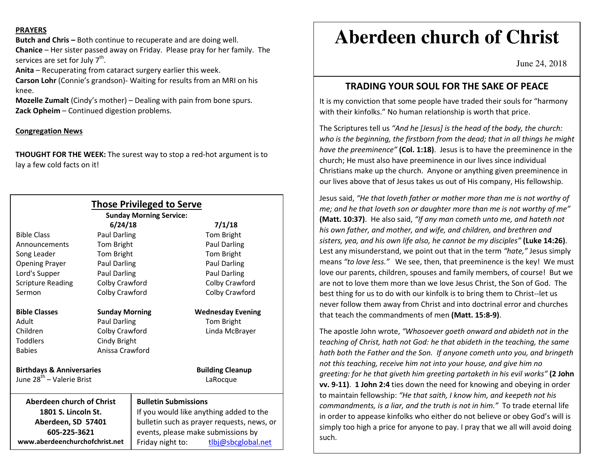#### **PRAYERS**

**Butch and Chris –** Both continue to recuperate and are doing well. **Chanice** – Her sister passed away on Friday. Please pray for her family. The services are set for July  $7<sup>th</sup>$ .

**Anita** – Recuperating from cataract surgery earlier this week.

**Carson Lohr** (Connie's grandson)- Waiting for results from an MRI on his knee.

**Mozelle Zumalt** (Cindy's mother) – Dealing with pain from bone spurs. **Zack Opheim** – Continued digestion problems.

#### **Congregation News**

**THOUGHT FOR THE WEEK:** The surest way to stop a red-hot argument is to lay a few cold facts on it!

|                                       |                       | <b>Those Privileged to Serve</b><br><b>Sunday Morning Service:</b> |                          |
|---------------------------------------|-----------------------|--------------------------------------------------------------------|--------------------------|
|                                       | 6/24/18               |                                                                    | 7/1/18                   |
| <b>Bible Class</b>                    | Paul Darling          |                                                                    | Tom Bright               |
| Announcements                         | Tom Bright            |                                                                    | <b>Paul Darling</b>      |
| Song Leader                           | Tom Bright            |                                                                    | Tom Bright               |
| <b>Opening Prayer</b>                 | <b>Paul Darling</b>   |                                                                    | <b>Paul Darling</b>      |
| Lord's Supper                         | Paul Darling          |                                                                    | Paul Darling             |
| <b>Scripture Reading</b>              | Colby Crawford        |                                                                    | Colby Crawford           |
| Sermon                                | Colby Crawford        |                                                                    | Colby Crawford           |
| <b>Bible Classes</b>                  | <b>Sunday Morning</b> |                                                                    | <b>Wednesday Evening</b> |
| Adult                                 | <b>Paul Darling</b>   |                                                                    | Tom Bright               |
| Children                              | Colby Crawford        |                                                                    | Linda McBrayer           |
| <b>Toddlers</b>                       | Cindy Bright          |                                                                    |                          |
| <b>Babies</b>                         | Anissa Crawford       |                                                                    |                          |
| <b>Birthdays &amp; Anniversaries</b>  |                       |                                                                    | <b>Building Cleanup</b>  |
| June 28 <sup>th</sup> - Valerie Brist |                       |                                                                    | LaRocque                 |
| <b>Aberdeen church of Christ</b>      |                       | <b>Bulletin Submissions</b>                                        |                          |
| 1801 S. Lincoln St.                   |                       | If you would like anything added to the                            |                          |
| Aberdeen, SD 57401                    |                       | bulletin such as prayer requests, news, or                         |                          |
| 605-225-3621                          |                       | events, please make submissions by                                 |                          |
| www.aberdeenchurchofchrist.net        |                       | Friday night to:                                                   | tlbj@sbcglobal.net       |

# **Aberdeen church of Christ**

June 24, 2018

## **TRADING YOUR SOUL FOR THE SAKE OF PEACE**

It is my conviction that some people have traded their souls for "harmony with their kinfolks." No human relationship is worth that price.

The Scriptures tell us *"And he [Jesus] is the head of the body, the church: who is the beginning, the firstborn from the dead; that in all things he might have the preeminence"* **(Col. 1:18)**. Jesus is to have the preeminence in the church; He must also have preeminence in our lives since individual Christians make up the church. Anyone or anything given preeminence in our lives above that of Jesus takes us out of His company, His fellowship.

Jesus said, *"He that loveth father or mother more than me is not worthy of me; and he that loveth son or daughter more than me is not worthy of me"* **(Matt. 10:37)**. He also said, *"If any man cometh unto me, and hateth not his own father, and mother, and wife, and children, and brethren and sisters, yea, and his own life also, he cannot be my disciples"* **(Luke 14:26)**. Lest any misunderstand, we point out that in the term *"hate,"* Jesus simply means *"to love less."* We see, then, that preeminence is the key! We mustlove our parents, children, spouses and family members, of course! But we are not to love them more than we love Jesus Christ, the Son of God. The best thing for us to do with our kinfolk is to bring them to Christ--let us never follow them away from Christ and into doctrinal error and churches that teach the commandments of men **(Matt. 15:8-9)**.

The apostle John wrote, *"Whosoever goeth onward and abideth not in the teaching of Christ, hath not God: he that abideth in the teaching, the same hath both the Father and the Son. If anyone cometh unto you, and bringeth not this teaching, receive him not into your house, and give him no greeting: for he that giveth him greeting partaketh in his evil works"* **(2 John vv. 9-11)**. **1 John 2:4** ties down the need for knowing and obeying in orderto maintain fellowship: *"He that saith, I know him, and keepeth not his commandments, is a liar, and the truth is not in him."* To trade eternal life in order to appease kinfolks who either do not believe or obey God's will is simply too high a price for anyone to pay. I pray that we all will avoid doing such.